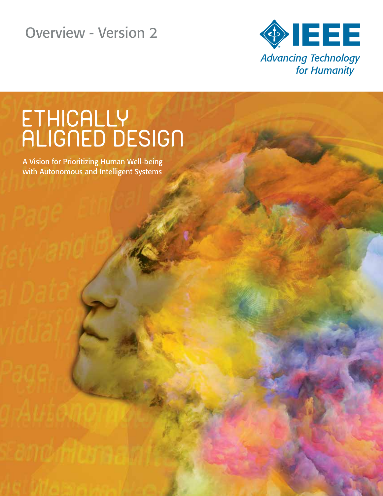Overview - Version 2



# ETHICALLY<br>ALIGNED DESIGN

A Vision for Prioritizing Human Well-being with Autonomous and Intelligent Systems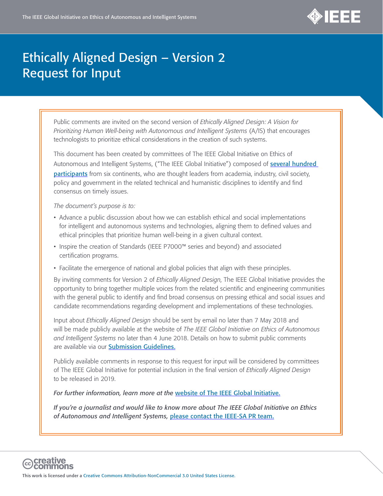

# Ethically Aligned Design – Version 2 Request for Input

Public comments are invited on the second version of *Ethically Aligned Design: A Vision for Prioritizing Human Well-being with Autonomous and Intelligent Systems* (A/IS) that encourages technologists to prioritize ethical considerations in the creation of such systems.

This document has been created by committees of The IEEE Global Initiative on Ethics of Autonomous and Intelligent Systems, ("The IEEE Global Initiative") composed of **several hundred [participants](http://standards.ieee.org/develop/indconn/ec/ec_bios.pdf)** from six continents, who are thought leaders from academia, industry, civil society, policy and government in the related technical and humanistic disciplines to identify and find consensus on timely issues.

*The document's purpose is to:* 

- Advance a public discussion about how we can establish ethical and social implementations for intelligent and autonomous systems and technologies, aligning them to defined values and ethical principles that prioritize human well-being in a given cultural context.
- Inspire the creation of Standards (IEEE P7000™ series and beyond) and associated certification programs.
- Facilitate the emergence of national and global policies that align with these principles.

By inviting comments for Version 2 of *Ethically Aligned Design*, The IEEE Global Initiative provides the opportunity to bring together multiple voices from the related scientific and engineering communities with the general public to identify and find broad consensus on pressing ethical and social issues and candidate recommendations regarding development and implementations of these technologies.

Input about *Ethically Aligned Design* should be sent by email no later than 7 May 2018 and will be made publicly available at the website of *The IEEE Global Initiative on Ethics of Autonomous and Intelligent Systems* no later than 4 June 2018. Details on how to submit public comments are available via our [Submission Guidelines](http://standards.ieee.org/develop/indconn/ec/gieaisv2_guidelines.pdf).

Publicly available comments in response to this request for input will be considered by committees of The IEEE Global Initiative for potential inclusion in the final version of *Ethically Aligned Design* to be released in 2019.

*For further information, learn more at the* [website of The IEEE Global Initiative.](https://standards.ieee.org/develop/indconn/ec/autonomous_systems.html)

*If you're a journalist and would like to know more about The IEEE Global Initiative on Ethics of Autonomous and Intelligent Systems,* [please contact the IEEE-SA PR team.](mailto:standards-pr@ieee.org)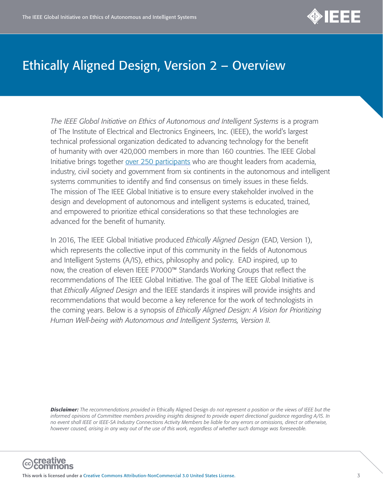

*The IEEE Global Initiative on Ethics of Autonomous and Intelligent Systems* is a program of The Institute of Electrical and Electronics Engineers, Inc. (IEEE), the world's largest technical professional organization dedicated to advancing technology for the benefit of humanity with over 420,000 members in more than 160 countries. The IEEE Global Initiative brings together [over 250 participants](http://standards.ieee.org/develop/indconn/ec/ec_bios.pdf) who are thought leaders from academia, industry, civil society and government from six continents in the autonomous and intelligent systems communities to identify and find consensus on timely issues in these fields. The mission of The IEEE Global Initiative is to ensure every stakeholder involved in the design and development of autonomous and intelligent systems is educated, trained, and empowered to prioritize ethical considerations so that these technologies are advanced for the benefit of humanity.

In 2016, The IEEE Global Initiative produced *Ethically Aligned Design* (EAD, Version 1), which represents the collective input of this community in the fields of Autonomous and Intelligent Systems (A/IS), ethics, philosophy and policy. EAD inspired, up to now, the creation of eleven IEEE P7000™ Standards Working Groups that reflect the recommendations of The IEEE Global Initiative. The goal of The IEEE Global Initiative is that *Ethically Aligned Design* and the IEEE standards it inspires will provide insights and recommendations that would become a key reference for the work of technologists in the coming years. Below is a synopsis of *Ethically Aligned Design: A Vision for Prioritizing Human Well-being with Autonomous and Intelligent Systems, Version II*.

*Disclaimer: The recommendations provided in* Ethically Aligned Design *do not represent a position or the views of IEEE but the informed opinions of Committee members providing insights designed to provide expert directional guidance regarding A/IS. In no event shall IEEE or IEEE-SA Industry Connections Activity Members be liable for any errors or omissions, direct or otherwise, however caused, arising in any way out of the use of this work, regardless of whether such damage was foreseeable.*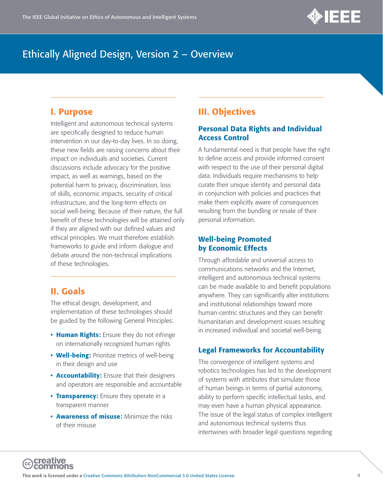

#### I. Purpose

Intelligent and autonomous technical systems are specifically designed to reduce human intervention in our day-to-day lives. In so doing, these new fields are raising concerns about their impact on individuals and societies. Current discussions include advocacy for the positive impact, as well as warnings, based on the potential harm to privacy, discrimination, loss of skills, economic impacts, security of critical infrastructure, and the long-term effects on social well-being. Because of their nature, the full benefit of these technologies will be attained only if they are aligned with our defined values and ethical principles. We must therefore establish frameworks to guide and inform dialogue and debate around the non-technical implications of these technologies.

## II. Goals

The ethical design, development, and implementation of these technologies should be guided by the following General Principles:

- Human Rights: Ensure they do not infringe on internationally recognized human rights
- Well-being: Prioritize metrics of well-being in their design and use
- **Accountability:** Ensure that their designers and operators are responsible and accountable
- Transparency: Ensure they operate in a transparent manner
- **Awareness of misuse:** Minimize the risks of their misuse

## III. Objectives

#### Personal Data Rights and Individual Access Control

A fundamental need is that people have the right to define access and provide informed consent with respect to the use of their personal digital data. Individuals require mechanisms to help curate their unique identity and personal data in conjunction with policies and practices that make them explicitly aware of consequences resulting from the bundling or resale of their personal information.

#### Well-being Promoted by Economic Effects

Through affordable and universal access to communications networks and the Internet, intelligent and autonomous technical systems can be made available to and benefit populations anywhere. They can significantly alter institutions and institutional relationships toward more human-centric structures and they can benefit humanitarian and development issues resulting in increased individual and societal well-being.

#### Legal Frameworks for Accountability

The convergence of intelligent systems and robotics technologies has led to the development of systems with attributes that simulate those of human beings in terms of partial autonomy, ability to perform specific intellectual tasks, and may even have a human physical appearance. The issue of the legal status of complex intelligent and autonomous technical systems thus intertwines with broader legal questions regarding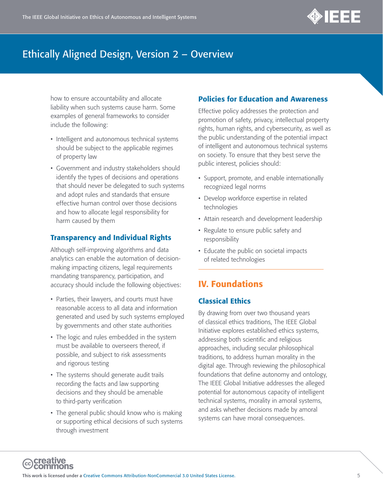

how to ensure accountability and allocate liability when such systems cause harm. Some examples of general frameworks to consider include the following:

- Intelligent and autonomous technical systems should be subject to the applicable regimes of property law
- Government and industry stakeholders should identify the types of decisions and operations that should never be delegated to such systems and adopt rules and standards that ensure effective human control over those decisions and how to allocate legal responsibility for harm caused by them

## Transparency and Individual Rights

Although self-improving algorithms and data analytics can enable the automation of decisionmaking impacting citizens, legal requirements mandating transparency, participation, and accuracy should include the following objectives:

- Parties, their lawyers, and courts must have reasonable access to all data and information generated and used by such systems employed by governments and other state authorities
- The logic and rules embedded in the system must be available to overseers thereof, if possible, and subject to risk assessments and rigorous testing
- The systems should generate audit trails recording the facts and law supporting decisions and they should be amenable to third-party verification
- The general public should know who is making or supporting ethical decisions of such systems through investment

## Policies for Education and Awareness

Effective policy addresses the protection and promotion of safety, privacy, intellectual property rights, human rights, and cybersecurity, as well as the public understanding of the potential impact of intelligent and autonomous technical systems on society. To ensure that they best serve the public interest, policies should:

- Support, promote, and enable internationally recognized legal norms
- Develop workforce expertise in related technologies
- Attain research and development leadership
- Regulate to ensure public safety and responsibility
- Educate the public on societal impacts of related technologies

## IV. Foundations

## Classical Ethics

By drawing from over two thousand years of classical ethics traditions, The IEEE Global Initiative explores established ethics systems, addressing both scientific and religious approaches, including secular philosophical traditions, to address human morality in the digital age. Through reviewing the philosophical foundations that define autonomy and ontology, The IEEE Global Initiative addresses the alleged potential for autonomous capacity of intelligent technical systems, morality in amoral systems, and asks whether decisions made by amoral systems can have moral consequences.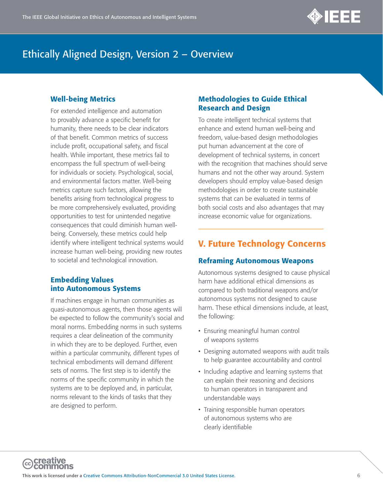

## Well-being Metrics

For extended intelligence and automation to provably advance a specific benefit for humanity, there needs to be clear indicators of that benefit. Common metrics of success include profit, occupational safety, and fiscal health. While important, these metrics fail to encompass the full spectrum of well-being for individuals or society. Psychological, social, and environmental factors matter. Well-being metrics capture such factors, allowing the benefits arising from technological progress to be more comprehensively evaluated, providing opportunities to test for unintended negative consequences that could diminish human wellbeing. Conversely, these metrics could help identify where intelligent technical systems would increase human well-being, providing new routes to societal and technological innovation.

## Embedding Values into Autonomous Systems

If machines engage in human communities as quasi-autonomous agents, then those agents will be expected to follow the community's social and moral norms. Embedding norms in such systems requires a clear delineation of the community in which they are to be deployed. Further, even within a particular community, different types of technical embodiments will demand different sets of norms. The first step is to identify the norms of the specific community in which the systems are to be deployed and, in particular, norms relevant to the kinds of tasks that they are designed to perform.

#### Methodologies to Guide Ethical Research and Design

To create intelligent technical systems that enhance and extend human well-being and freedom, value-based design methodologies put human advancement at the core of development of technical systems, in concert with the recognition that machines should serve humans and not the other way around. System developers should employ value-based design methodologies in order to create sustainable systems that can be evaluated in terms of both social costs and also advantages that may increase economic value for organizations.

## V. Future Technology Concerns

## Reframing Autonomous Weapons

Autonomous systems designed to cause physical harm have additional ethical dimensions as compared to both traditional weapons and/or autonomous systems not designed to cause harm. These ethical dimensions include, at least, the following:

- Ensuring meaningful human control of weapons systems
- Designing automated weapons with audit trails to help guarantee accountability and control
- Including adaptive and learning systems that can explain their reasoning and decisions to human operators in transparent and understandable ways
- Training responsible human operators of autonomous systems who are clearly identifiable